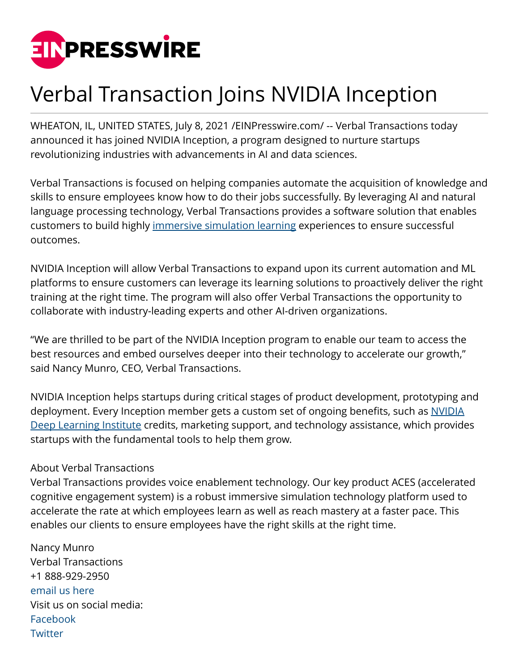

## Verbal Transaction Joins NVIDIA Inception

WHEATON, IL, UNITED STATES, July 8, 2021 /[EINPresswire.com/](http://www.einpresswire.com) -- Verbal Transactions today announced it has joined NVIDIA Inception, a program designed to nurture startups revolutionizing industries with advancements in AI and data sciences.

Verbal Transactions is focused on helping companies automate the acquisition of knowledge and skills to ensure employees know how to do their jobs successfully. By leveraging AI and natural language processing technology, Verbal Transactions provides a software solution that enables customers to build highly [immersive simulation learning](https://verbaltransactions.com/press/) experiences to ensure successful outcomes.

NVIDIA Inception will allow Verbal Transactions to expand upon its current automation and ML platforms to ensure customers can leverage its learning solutions to proactively deliver the right training at the right time. The program will also offer Verbal Transactions the opportunity to collaborate with industry-leading experts and other AI-driven organizations.

"We are thrilled to be part of the NVIDIA Inception program to enable our team to access the best resources and embed ourselves deeper into their technology to accelerate our growth," said Nancy Munro, CEO, Verbal Transactions.

NVIDIA Inception helps startups during critical stages of product development, prototyping and deployment. Every Inception member gets a custom set of ongoing benefits, such as [NVIDIA](https://verbaltransactions.com/press/) [Deep Learning Institute](https://verbaltransactions.com/press/) credits, marketing support, and technology assistance, which provides startups with the fundamental tools to help them grow.

## About Verbal Transactions

Verbal Transactions provides voice enablement technology. Our key product ACES (accelerated cognitive engagement system) is a robust immersive simulation technology platform used to accelerate the rate at which employees learn as well as reach mastery at a faster pace. This enables our clients to ensure employees have the right skills at the right time.

Nancy Munro Verbal Transactions +1 888-929-2950 [email us here](http://www.einpresswire.com/contact_author/3117442) Visit us on social media: [Facebook](https://www.facebook.com/Verbal-Transaction-144843233045281) **[Twitter](https://twitter.com/verbaltransact)**